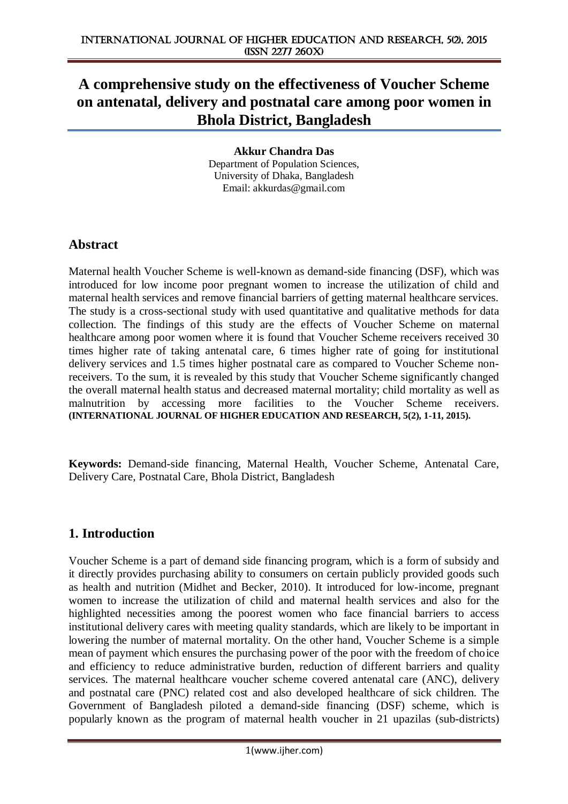# **A comprehensive study on the effectiveness of Voucher Scheme on antenatal, delivery and postnatal care among poor women in Bhola District, Bangladesh**

**Akkur Chandra Das** Department of Population Sciences, University of Dhaka, Bangladesh Email: akkurdas@gmail.com

## **Abstract**

Maternal health Voucher Scheme is well-known as demand-side financing (DSF), which was introduced for low income poor pregnant women to increase the utilization of child and maternal health services and remove financial barriers of getting maternal healthcare services. The study is a cross-sectional study with used quantitative and qualitative methods for data collection. The findings of this study are the effects of Voucher Scheme on maternal healthcare among poor women where it is found that Voucher Scheme receivers received 30 times higher rate of taking antenatal care, 6 times higher rate of going for institutional delivery services and 1.5 times higher postnatal care as compared to Voucher Scheme nonreceivers. To the sum, it is revealed by this study that Voucher Scheme significantly changed the overall maternal health status and decreased maternal mortality; child mortality as well as malnutrition by accessing more facilities to the Voucher Scheme receivers. **(INTERNATIONAL JOURNAL OF HIGHER EDUCATION AND RESEARCH, 5(2), 1-11, 2015).**

**Keywords:** Demand-side financing, Maternal Health, Voucher Scheme, Antenatal Care, Delivery Care, Postnatal Care, Bhola District, Bangladesh

## **1. Introduction**

Voucher Scheme is a part of demand side financing program, which is a form of subsidy and it directly provides purchasing ability to consumers on certain publicly provided goods such as health and nutrition (Midhet and Becker, 2010). It introduced for low-income, pregnant women to increase the utilization of child and maternal health services and also for the highlighted necessities among the poorest women who face financial barriers to access institutional delivery cares with meeting quality standards, which are likely to be important in lowering the number of maternal mortality. On the other hand, Voucher Scheme is a simple mean of payment which ensures the purchasing power of the poor with the freedom of choice and efficiency to reduce administrative burden, reduction of different barriers and quality services. The maternal healthcare voucher scheme covered antenatal care (ANC), delivery and postnatal care (PNC) related cost and also developed healthcare of sick children. The Government of Bangladesh piloted a demand-side financing (DSF) scheme, which is popularly known as the program of maternal health voucher in 21 upazilas (sub-districts)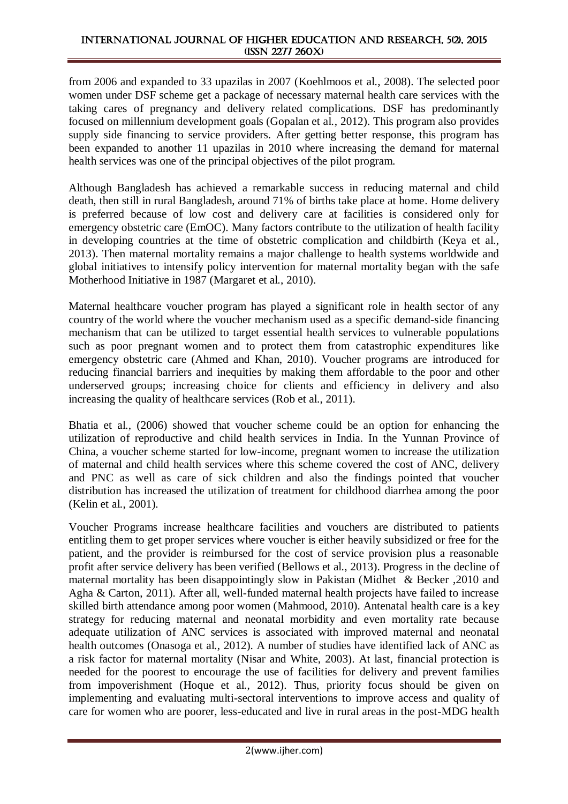from 2006 and expanded to 33 upazilas in 2007 (Koehlmoos et al., 2008). The selected poor women under DSF scheme get a package of necessary maternal health care services with the taking cares of pregnancy and delivery related complications. DSF has predominantly focused on millennium development goals (Gopalan et al., 2012). This program also provides supply side financing to service providers. After getting better response, this program has been expanded to another 11 upazilas in 2010 where increasing the demand for maternal health services was one of the principal objectives of the pilot program.

Although Bangladesh has achieved a remarkable success in reducing maternal and child death, then still in rural Bangladesh, around 71% of births take place at home. Home delivery is preferred because of low cost and delivery care at facilities is considered only for emergency obstetric care (EmOC). Many factors contribute to the utilization of health facility in developing countries at the time of obstetric complication and childbirth (Keya et al., 2013). Then maternal mortality remains a major challenge to health systems worldwide and global initiatives to intensify policy intervention for maternal mortality began with the safe Motherhood Initiative in 1987 (Margaret et al., 2010).

Maternal healthcare voucher program has played a significant role in health sector of any country of the world where the voucher mechanism used as a specific demand-side financing mechanism that can be utilized to target essential health services to vulnerable populations such as poor pregnant women and to protect them from catastrophic expenditures like emergency obstetric care (Ahmed and Khan, 2010). Voucher programs are introduced for reducing financial barriers and inequities by making them affordable to the poor and other underserved groups; increasing choice for clients and efficiency in delivery and also increasing the quality of healthcare services (Rob et al., 2011).

Bhatia et al., (2006) showed that voucher scheme could be an option for enhancing the utilization of reproductive and child health services in India. In the Yunnan Province of China, a voucher scheme started for low-income, pregnant women to increase the utilization of maternal and child health services where this scheme covered the cost of ANC, delivery and PNC as well as care of sick children and also the findings pointed that voucher distribution has increased the utilization of treatment for childhood diarrhea among the poor (Kelin et al., 2001).

Voucher Programs increase healthcare facilities and vouchers are distributed to patients entitling them to get proper services where voucher is either heavily subsidized or free for the patient, and the provider is reimbursed for the cost of service provision plus a reasonable profit after service delivery has been verified (Bellows et al., 2013). Progress in the decline of maternal mortality has been disappointingly slow in Pakistan (Midhet & Becker ,2010 and Agha & Carton, 2011). After all, well-funded maternal health projects have failed to increase skilled birth attendance among poor women (Mahmood, 2010). Antenatal health care is a key strategy for reducing maternal and neonatal morbidity and even mortality rate because adequate utilization of ANC services is associated with improved maternal and neonatal health outcomes (Onasoga et al., 2012). A number of studies have identified lack of ANC as a risk factor for maternal mortality (Nisar and White, 2003). At last, financial protection is needed for the poorest to encourage the use of facilities for delivery and prevent families from impoverishment (Hoque et al., 2012). Thus, priority focus should be given on implementing and evaluating multi-sectoral interventions to improve access and quality of care for women who are poorer, less-educated and live in rural areas in the post-MDG health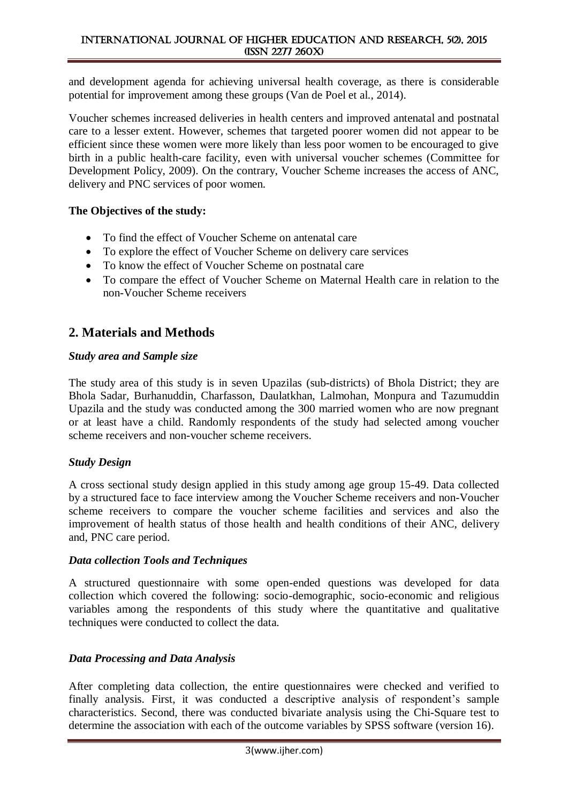and development agenda for achieving universal health coverage, as there is considerable potential for improvement among these groups (Van de Poel et al., 2014).

Voucher schemes increased deliveries in health centers and improved antenatal and postnatal care to a lesser extent. However, schemes that targeted poorer women did not appear to be efficient since these women were more likely than less poor women to be encouraged to give birth in a public health-care facility, even with universal voucher schemes (Committee for Development Policy, 2009). On the contrary, Voucher Scheme increases the access of ANC, delivery and PNC services of poor women.

#### **The Objectives of the study:**

- To find the effect of Voucher Scheme on antenatal care
- To explore the effect of Voucher Scheme on delivery care services
- To know the effect of Voucher Scheme on postnatal care
- To compare the effect of Voucher Scheme on Maternal Health care in relation to the non-Voucher Scheme receivers

## **2. Materials and Methods**

#### *Study area and Sample size*

The study area of this study is in seven Upazilas (sub-districts) of Bhola District; they are Bhola Sadar, Burhanuddin, Charfasson, Daulatkhan, Lalmohan, Monpura and Tazumuddin Upazila and the study was conducted among the 300 married women who are now pregnant or at least have a child. Randomly respondents of the study had selected among voucher scheme receivers and non-voucher scheme receivers.

#### *Study Design*

A cross sectional study design applied in this study among age group 15-49. Data collected by a structured face to face interview among the Voucher Scheme receivers and non-Voucher scheme receivers to compare the voucher scheme facilities and services and also the improvement of health status of those health and health conditions of their ANC, delivery and, PNC care period.

#### *Data collection Tools and Techniques*

A structured questionnaire with some open-ended questions was developed for data collection which covered the following: socio-demographic, socio-economic and religious variables among the respondents of this study where the quantitative and qualitative techniques were conducted to collect the data.

### *Data Processing and Data Analysis*

After completing data collection, the entire questionnaires were checked and verified to finally analysis. First, it was conducted a descriptive analysis of respondent's sample characteristics. Second, there was conducted bivariate analysis using the Chi-Square test to determine the association with each of the outcome variables by SPSS software (version 16).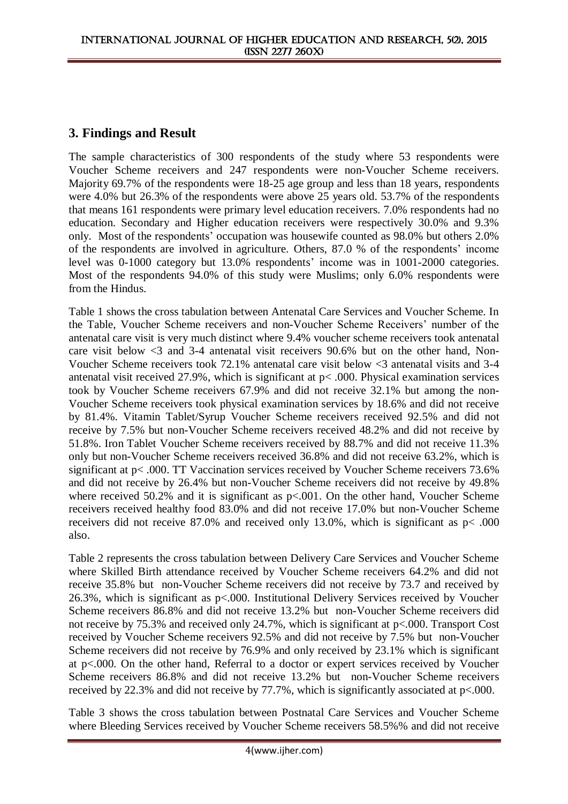## **3. Findings and Result**

The sample characteristics of 300 respondents of the study where 53 respondents were Voucher Scheme receivers and 247 respondents were non-Voucher Scheme receivers. Majority 69.7% of the respondents were 18-25 age group and less than 18 years, respondents were 4.0% but 26.3% of the respondents were above 25 years old. 53.7% of the respondents that means 161 respondents were primary level education receivers. 7.0% respondents had no education. Secondary and Higher education receivers were respectively 30.0% and 9.3% only. Most of the respondents' occupation was housewife counted as 98.0% but others 2.0% of the respondents are involved in agriculture. Others, 87.0 % of the respondents' income level was 0-1000 category but 13.0% respondents' income was in 1001-2000 categories. Most of the respondents 94.0% of this study were Muslims; only 6.0% respondents were from the Hindus.

Table 1 shows the cross tabulation between Antenatal Care Services and Voucher Scheme. In the Table, Voucher Scheme receivers and non-Voucher Scheme Receivers' number of the antenatal care visit is very much distinct where 9.4% voucher scheme receivers took antenatal care visit below <3 and 3-4 antenatal visit receivers 90.6% but on the other hand, Non-Voucher Scheme receivers took 72.1% antenatal care visit below <3 antenatal visits and 3-4 antenatal visit received 27.9%, which is significant at p< .000. Physical examination services took by Voucher Scheme receivers 67.9% and did not receive 32.1% but among the non-Voucher Scheme receivers took physical examination services by 18.6% and did not receive by 81.4%. Vitamin Tablet/Syrup Voucher Scheme receivers received 92.5% and did not receive by 7.5% but non-Voucher Scheme receivers received 48.2% and did not receive by 51.8%. Iron Tablet Voucher Scheme receivers received by 88.7% and did not receive 11.3% only but non-Voucher Scheme receivers received 36.8% and did not receive 63.2%, which is significant at p< .000. TT Vaccination services received by Voucher Scheme receivers 73.6% and did not receive by 26.4% but non-Voucher Scheme receivers did not receive by 49.8% where received  $50.2\%$  and it is significant as  $p<.001$ . On the other hand, Voucher Scheme receivers received healthy food 83.0% and did not receive 17.0% but non-Voucher Scheme receivers did not receive 87.0% and received only 13.0%, which is significant as  $p < .000$ also.

Table 2 represents the cross tabulation between Delivery Care Services and Voucher Scheme where Skilled Birth attendance received by Voucher Scheme receivers 64.2% and did not receive 35.8% but non-Voucher Scheme receivers did not receive by 73.7 and received by 26.3%, which is significant as p<.000. Institutional Delivery Services received by Voucher Scheme receivers 86.8% and did not receive 13.2% but non-Voucher Scheme receivers did not receive by 75.3% and received only 24.7%, which is significant at p<.000. Transport Cost received by Voucher Scheme receivers 92.5% and did not receive by 7.5% but non-Voucher Scheme receivers did not receive by 76.9% and only received by 23.1% which is significant at p<.000. On the other hand, Referral to a doctor or expert services received by Voucher Scheme receivers 86.8% and did not receive 13.2% but non-Voucher Scheme receivers received by 22.3% and did not receive by 77.7%, which is significantly associated at p<.000.

Table 3 shows the cross tabulation between Postnatal Care Services and Voucher Scheme where Bleeding Services received by Voucher Scheme receivers 58.5%% and did not receive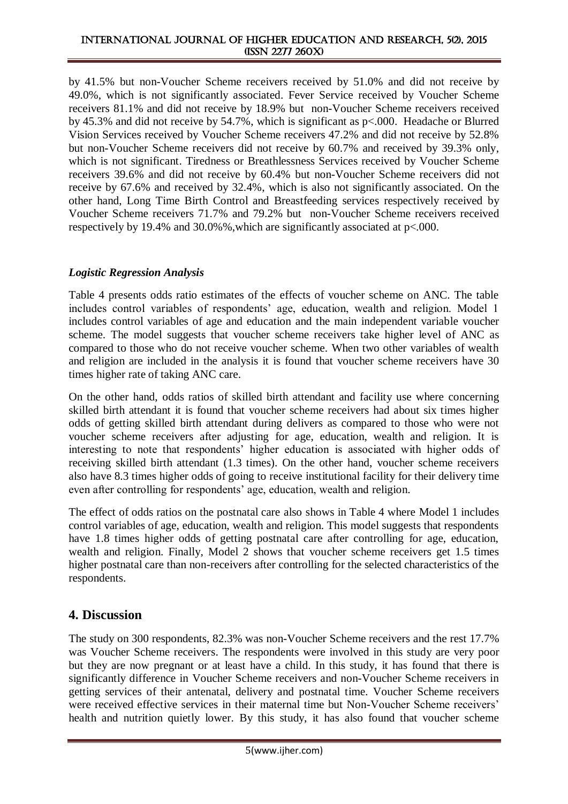by 41.5% but non-Voucher Scheme receivers received by 51.0% and did not receive by 49.0%, which is not significantly associated. Fever Service received by Voucher Scheme receivers 81.1% and did not receive by 18.9% but non-Voucher Scheme receivers received by 45.3% and did not receive by 54.7%, which is significant as p<.000. Headache or Blurred Vision Services received by Voucher Scheme receivers 47.2% and did not receive by 52.8% but non-Voucher Scheme receivers did not receive by 60.7% and received by 39.3% only, which is not significant. Tiredness or Breathlessness Services received by Voucher Scheme receivers 39.6% and did not receive by 60.4% but non-Voucher Scheme receivers did not receive by 67.6% and received by 32.4%, which is also not significantly associated. On the other hand, Long Time Birth Control and Breastfeeding services respectively received by Voucher Scheme receivers 71.7% and 79.2% but non-Voucher Scheme receivers received respectively by 19.4% and 30.0%%,which are significantly associated at p<.000.

### *Logistic Regression Analysis*

Table 4 presents odds ratio estimates of the effects of voucher scheme on ANC. The table includes control variables of respondents' age, education, wealth and religion. Model 1 includes control variables of age and education and the main independent variable voucher scheme. The model suggests that voucher scheme receivers take higher level of ANC as compared to those who do not receive voucher scheme. When two other variables of wealth and religion are included in the analysis it is found that voucher scheme receivers have 30 times higher rate of taking ANC care.

On the other hand, odds ratios of skilled birth attendant and facility use where concerning skilled birth attendant it is found that voucher scheme receivers had about six times higher odds of getting skilled birth attendant during delivers as compared to those who were not voucher scheme receivers after adjusting for age, education, wealth and religion. It is interesting to note that respondents' higher education is associated with higher odds of receiving skilled birth attendant (1.3 times). On the other hand, voucher scheme receivers also have 8.3 times higher odds of going to receive institutional facility for their delivery time even after controlling for respondents' age, education, wealth and religion.

The effect of odds ratios on the postnatal care also shows in Table 4 where Model 1 includes control variables of age, education, wealth and religion. This model suggests that respondents have 1.8 times higher odds of getting postnatal care after controlling for age, education, wealth and religion. Finally, Model 2 shows that voucher scheme receivers get 1.5 times higher postnatal care than non-receivers after controlling for the selected characteristics of the respondents.

### **4. Discussion**

The study on 300 respondents, 82.3% was non-Voucher Scheme receivers and the rest 17.7% was Voucher Scheme receivers. The respondents were involved in this study are very poor but they are now pregnant or at least have a child. In this study, it has found that there is significantly difference in Voucher Scheme receivers and non-Voucher Scheme receivers in getting services of their antenatal, delivery and postnatal time. Voucher Scheme receivers were received effective services in their maternal time but Non-Voucher Scheme receivers' health and nutrition quietly lower. By this study, it has also found that voucher scheme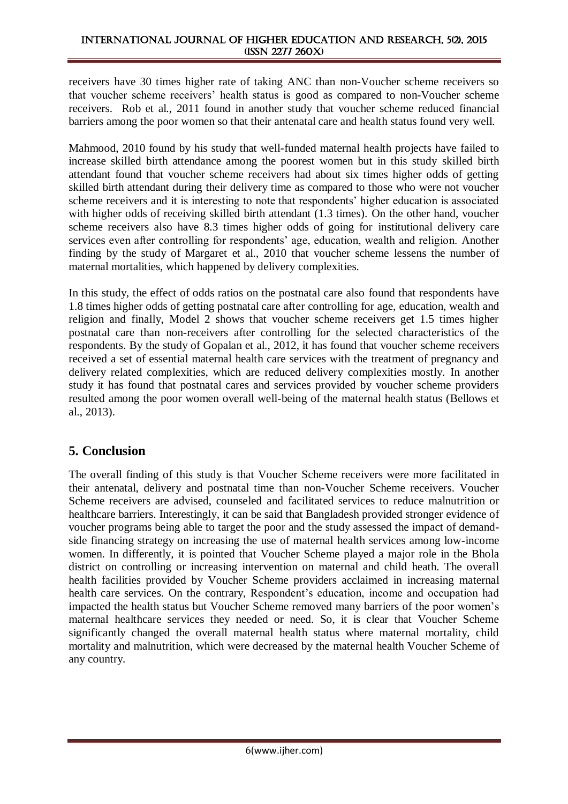receivers have 30 times higher rate of taking ANC than non-Voucher scheme receivers so that voucher scheme receivers' health status is good as compared to non-Voucher scheme receivers. Rob et al., 2011 found in another study that voucher scheme reduced financial barriers among the poor women so that their antenatal care and health status found very well.

Mahmood, 2010 found by his study that well-funded maternal health projects have failed to increase skilled birth attendance among the poorest women but in this study skilled birth attendant found that voucher scheme receivers had about six times higher odds of getting skilled birth attendant during their delivery time as compared to those who were not voucher scheme receivers and it is interesting to note that respondents' higher education is associated with higher odds of receiving skilled birth attendant (1.3 times). On the other hand, voucher scheme receivers also have 8.3 times higher odds of going for institutional delivery care services even after controlling for respondents' age, education, wealth and religion. Another finding by the study of Margaret et al., 2010 that voucher scheme lessens the number of maternal mortalities, which happened by delivery complexities.

In this study, the effect of odds ratios on the postnatal care also found that respondents have 1.8 times higher odds of getting postnatal care after controlling for age, education, wealth and religion and finally, Model 2 shows that voucher scheme receivers get 1.5 times higher postnatal care than non-receivers after controlling for the selected characteristics of the respondents. By the study of Gopalan et al., 2012, it has found that voucher scheme receivers received a set of essential maternal health care services with the treatment of pregnancy and delivery related complexities, which are reduced delivery complexities mostly. In another study it has found that postnatal cares and services provided by voucher scheme providers resulted among the poor women overall well-being of the maternal health status (Bellows et al., 2013).

## **5. Conclusion**

The overall finding of this study is that Voucher Scheme receivers were more facilitated in their antenatal, delivery and postnatal time than non-Voucher Scheme receivers. Voucher Scheme receivers are advised, counseled and facilitated services to reduce malnutrition or healthcare barriers. Interestingly, it can be said that Bangladesh provided stronger evidence of voucher programs being able to target the poor and the study assessed the impact of demandside financing strategy on increasing the use of maternal health services among low-income women. In differently, it is pointed that Voucher Scheme played a major role in the Bhola district on controlling or increasing intervention on maternal and child heath. The overall health facilities provided by Voucher Scheme providers acclaimed in increasing maternal health care services. On the contrary, Respondent's education, income and occupation had impacted the health status but Voucher Scheme removed many barriers of the poor women's maternal healthcare services they needed or need. So, it is clear that Voucher Scheme significantly changed the overall maternal health status where maternal mortality, child mortality and malnutrition, which were decreased by the maternal health Voucher Scheme of any country.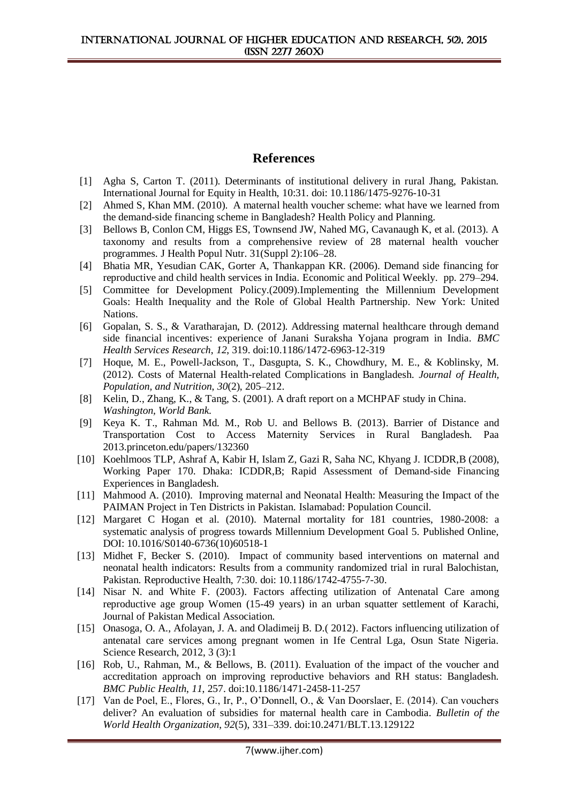### **References**

- [1] Agha S, Carton T. (2011). Determinants of institutional delivery in rural Jhang, Pakistan. International Journal for Equity in Health, 10:31. doi: 10.1186/1475-9276-10-31
- [2] Ahmed S, Khan MM. (2010). A maternal health voucher scheme: what have we learned from the demand-side financing scheme in Bangladesh? Health Policy and Planning.
- [3] Bellows B, Conlon CM, Higgs ES, Townsend JW, Nahed MG, Cavanaugh K, et al. (2013). A taxonomy and results from a comprehensive review of 28 maternal health voucher programmes. J Health Popul Nutr. 31(Suppl 2):106–28.
- [4] Bhatia MR, Yesudian CAK, Gorter A, Thankappan KR. (2006). Demand side financing for reproductive and child health services in India. Economic and Political Weekly. pp. 279–294.
- [5] Committee for Development Policy.(2009).Implementing the Millennium Development Goals: Health Inequality and the Role of Global Health Partnership. New York: United Nations.
- [6] Gopalan, S. S., & Varatharajan, D. (2012). Addressing maternal healthcare through demand side financial incentives: experience of Janani Suraksha Yojana program in India. *BMC Health Services Research*, *12*, 319. doi:10.1186/1472-6963-12-319
- [7] Hoque, M. E., Powell-Jackson, T., Dasgupta, S. K., Chowdhury, M. E., & Koblinsky, M. (2012). Costs of Maternal Health-related Complications in Bangladesh. *Journal of Health, Population, and Nutrition*, *30*(2), 205–212.
- [8] Kelin, D., Zhang, K., & Tang, S. (2001). A draft report on a MCHPAF study in China. *Washington, World Bank*.
- [9] Keya K. T., Rahman Md. M., Rob U. and Bellows B. (2013). Barrier of Distance and Transportation Cost to Access Maternity Services in Rural Bangladesh. Paa 2013.princeton.edu/papers/132360
- [10] Koehlmoos TLP, Ashraf A, Kabir H, Islam Z, Gazi R, Saha NC, Khyang J. ICDDR,B (2008), Working Paper 170. Dhaka: ICDDR,B; Rapid Assessment of Demand-side Financing Experiences in Bangladesh.
- [11] Mahmood A. (2010). Improving maternal and Neonatal Health: Measuring the Impact of the PAIMAN Project in Ten Districts in Pakistan. Islamabad: Population Council.
- [12] Margaret C Hogan et al. (2010). Maternal mortality for 181 countries, 1980-2008: a systematic analysis of progress towards Millennium Development Goal 5. Published Online, DOI: 10.1016/S0140-6736(10)60518-1
- [13] Midhet F, Becker S. (2010). Impact of community based interventions on maternal and neonatal health indicators: Results from a community randomized trial in rural Balochistan, Pakistan. Reproductive Health, 7:30. doi: 10.1186/1742-4755-7-30.
- [14] Nisar N. and White F. (2003). Factors affecting utilization of Antenatal Care among reproductive age group Women (15-49 years) in an urban squatter settlement of Karachi, Journal of Pakistan Medical Association.
- [15] Onasoga, O. A., Afolayan, J. A. and Oladimeij B. D.( 2012). Factors influencing utilization of antenatal care services among pregnant women in Ife Central Lga, Osun State Nigeria. Science Research, 2012, 3 (3):1
- [16] Rob, U., Rahman, M., & Bellows, B. (2011). Evaluation of the impact of the voucher and accreditation approach on improving reproductive behaviors and RH status: Bangladesh. *BMC Public Health*, *11*, 257. doi:10.1186/1471-2458-11-257
- [17] Van de Poel, E., Flores, G., Ir, P., O'Donnell, O., & Van Doorslaer, E. (2014). Can vouchers deliver? An evaluation of subsidies for maternal health care in Cambodia. *Bulletin of the World Health Organization*, *92*(5), 331–339. doi:10.2471/BLT.13.129122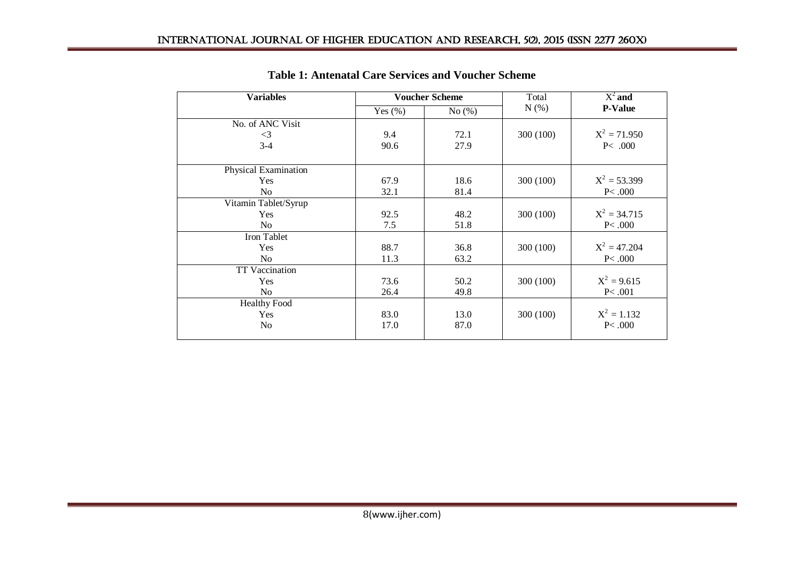| <b>Variables</b>      | <b>Voucher Scheme</b> |       | Total     | $X^2$ and      |
|-----------------------|-----------------------|-------|-----------|----------------|
|                       | Yes $(\% )$           | No(%) | N(%)      | <b>P-Value</b> |
| No. of ANC Visit      |                       |       |           |                |
| $\leq$ 3              | 9.4                   | 72.1  | 300 (100) | $X^2 = 71.950$ |
| $3-4$                 | 90.6                  | 27.9  |           | P<.000         |
|                       |                       |       |           |                |
| Physical Examination  |                       |       |           | $X^2 = 53.399$ |
| <b>Yes</b>            | 67.9                  | 18.6  | 300 (100) |                |
| N <sub>o</sub>        | 32.1                  | 81.4  |           | P< .000        |
| Vitamin Tablet/Syrup  |                       |       |           |                |
| Yes                   | 92.5                  | 48.2  | 300 (100) | $X^2 = 34.715$ |
| N <sub>o</sub>        | 7.5                   | 51.8  |           | P<.000         |
| Iron Tablet           |                       |       |           |                |
| Yes                   | 88.7                  | 36.8  | 300 (100) | $X^2 = 47.204$ |
| N <sub>0</sub>        | 11.3                  | 63.2  |           | P< .000        |
| <b>TT Vaccination</b> |                       |       |           |                |
| <b>Yes</b>            | 73.6                  | 50.2  | 300 (100) | $X^2 = 9.615$  |
| No                    | 26.4                  | 49.8  |           | P< .001        |
| <b>Healthy Food</b>   |                       |       |           |                |
| Yes                   | 83.0                  | 13.0  | 300 (100) | $X^2 = 1.132$  |
| N <sub>o</sub>        | 17.0                  | 87.0  |           | P<.000         |

**Table 1: Antenatal Care Services and Voucher Scheme**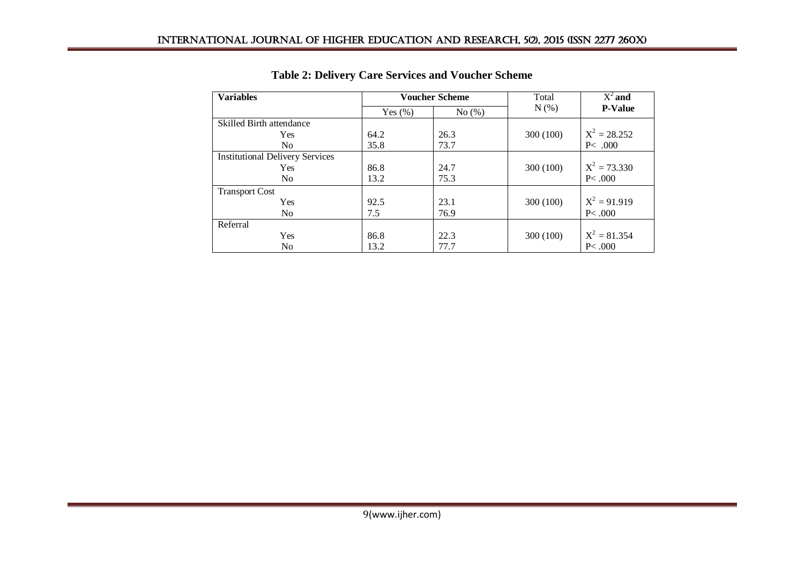| <b>Variables</b>                       | <b>Voucher Scheme</b> |       | Total     | $\overline{X}^2$ and |
|----------------------------------------|-----------------------|-------|-----------|----------------------|
|                                        | Yes $(\% )$           | No(%) | $N(\%)$   | <b>P-Value</b>       |
| <b>Skilled Birth attendance</b>        |                       |       |           |                      |
| <b>Yes</b>                             | 64.2                  | 26.3  | 300(100)  | $X^2 = 28.252$       |
| No.                                    | 35.8                  | 73.7  |           | P<.000               |
| <b>Institutional Delivery Services</b> |                       |       |           |                      |
| <b>Yes</b>                             | 86.8                  | 24.7  | 300(100)  | $X^2 = 73.330$       |
| No.                                    | 13.2                  | 75.3  |           | P<.000               |
| <b>Transport Cost</b>                  |                       |       |           |                      |
| Yes                                    | 92.5                  | 23.1  | 300(100)  | $X^2 = 91.919$       |
| No.                                    | 7.5                   | 76.9  |           | P<.000               |
| Referral                               |                       |       |           |                      |
| Yes                                    | 86.8                  | 22.3  | 300 (100) | $X^2 = 81.354$       |
| No                                     | 13.2                  | 77.7  |           | P<.000               |

**Table 2: Delivery Care Services and Voucher Scheme**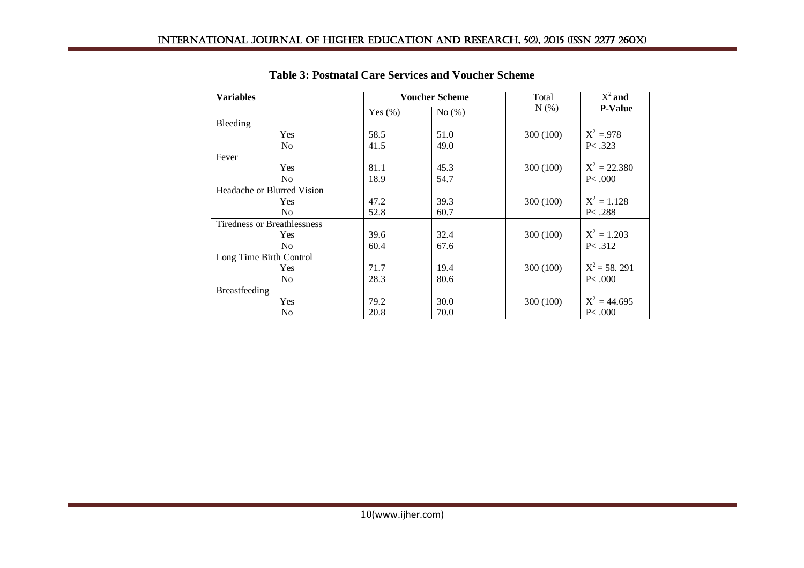| <b>Variables</b>                   |             | <b>Voucher Scheme</b> |           | $X^2$ and      |
|------------------------------------|-------------|-----------------------|-----------|----------------|
|                                    | Yes $(\% )$ | No $(\%)$             | $N(\%)$   | <b>P-Value</b> |
| Bleeding                           |             |                       |           |                |
| Yes                                | 58.5        | 51.0                  | 300 (100) | $X^2 = 978$    |
| N <sub>0</sub>                     | 41.5        | 49.0                  |           | P < .323       |
| Fever                              |             |                       |           |                |
| <b>Yes</b>                         | 81.1        | 45.3                  | 300 (100) | $X^2 = 22.380$ |
| N <sub>o</sub>                     | 18.9        | 54.7                  |           | P<.000         |
| Headache or Blurred Vision         |             |                       |           |                |
| Yes                                | 47.2        | 39.3                  | 300 (100) | $X^2 = 1.128$  |
| N <sub>0</sub>                     | 52.8        | 60.7                  |           | P< .288        |
| <b>Tiredness or Breathlessness</b> |             |                       |           |                |
| <b>Yes</b>                         | 39.6        | 32.4                  | 300 (100) | $X^2 = 1.203$  |
| N <sub>0</sub>                     | 60.4        | 67.6                  |           | P < .312       |
| Long Time Birth Control            |             |                       |           |                |
| Yes                                | 71.7        | 19.4                  | 300 (100) | $X^2 = 58.291$ |
| N <sub>0</sub>                     | 28.3        | 80.6                  |           | P<.000         |
| Breastfeeding                      |             |                       |           |                |
| <b>Yes</b>                         | 79.2        | 30.0                  | 300 (100) | $X^2 = 44.695$ |
| N <sub>0</sub>                     | 20.8        | 70.0                  |           | P<.000         |

**Table 3: Postnatal Care Services and Voucher Scheme**